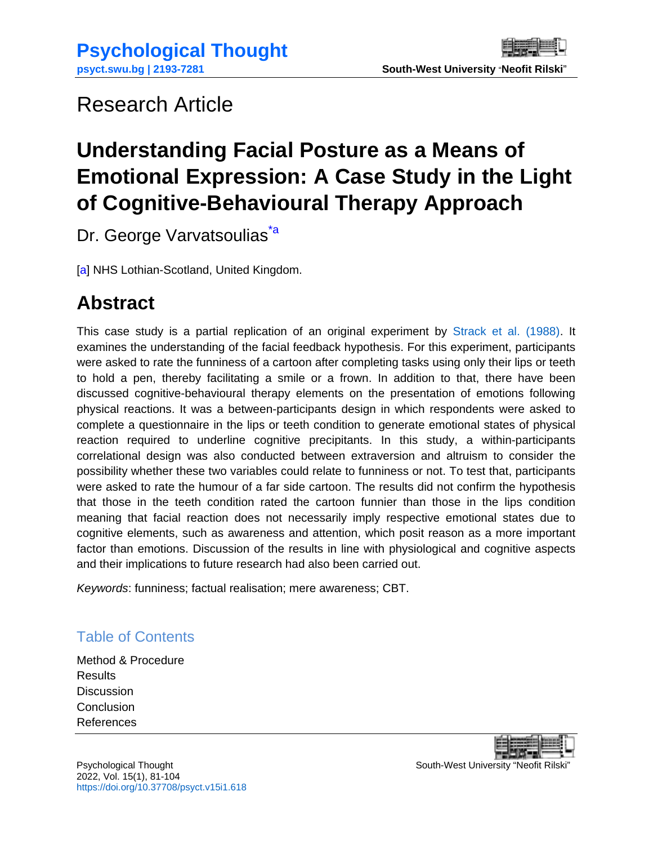# <span id="page-0-0"></span>Research Article

# **Understanding Facial Posture as a Means of Emotional Expression: A Case Study in the Light of Cognitive-Behavioural Therapy Approach**

Dr. George Varvatsoulias<sup>\*a</sup>

[a] NHS Lothian-Scotland, United Kingdom.

# **Abstract**

This case study is a partial replication of an original experiment by [Strack et al. \(1988\).](#page-18-0) It examines the understanding of the facial feedback hypothesis. For this experiment, participants were asked to rate the funniness of a cartoon after completing tasks using only their lips or teeth to hold a pen, thereby facilitating a smile or a frown. In addition to that, there have been discussed cognitive-behavioural therapy elements on the presentation of emotions following physical reactions. It was a between-participants design in which respondents were asked to complete a questionnaire in the lips or teeth condition to generate emotional states of physical reaction required to underline cognitive precipitants. In this study, a within-participants correlational design was also conducted between extraversion and altruism to consider the possibility whether these two variables could relate to funniness or not. To test that, participants were asked to rate the humour of a far side cartoon. The results did not confirm the hypothesis that those in the teeth condition rated the cartoon funnier than those in the lips condition meaning that facial reaction does not necessarily imply respective emotional states due to cognitive elements, such as awareness and attention, which posit reason as a more important factor than emotions. Discussion of the results in line with physiological and cognitive aspects and their implications to future research had also been carried out.

*Keywords*: funniness; factual realisation; mere awareness; CBT.

## Table of Contents

[Method & Procedure](#page-4-0) **[Results](#page-6-0) [Discussion](#page-7-0)** [Conclusion](#page-14-0) [References](#page-15-0)

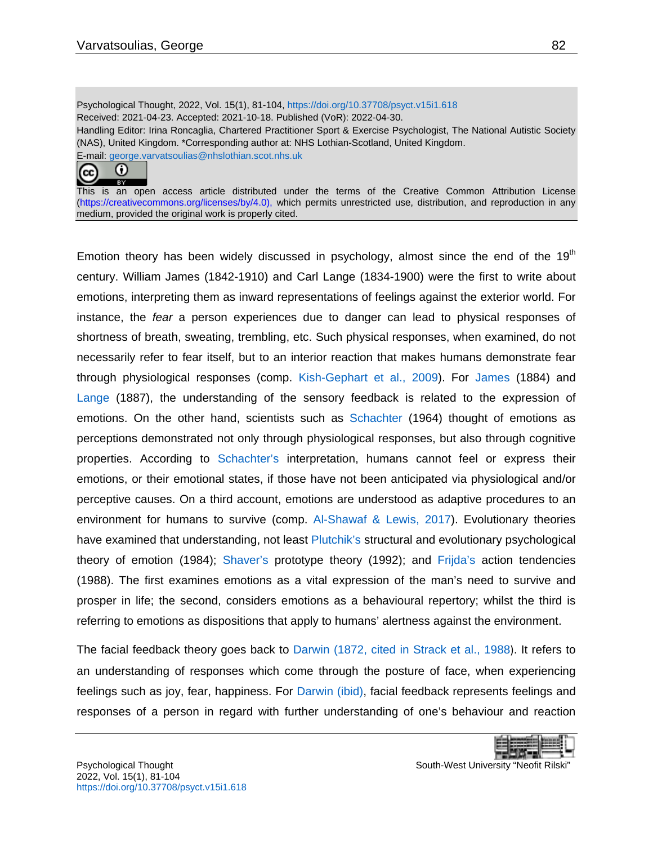Psychological Thought, 2022, Vol. 15(1), 81-104[, https://doi.org/10.37708/psyct.v15i1.618](https://doi.org/10.37708/psyct.v15i1.618) Received: 2021-04-23. Accepted: 2021-10-18. Published (VoR): 2022-04-30. Handling Editor: Irina Roncaglia, Chartered Practitioner Sport & Exercise Psychologist, The National Autistic Society (NAS), United Kingdom. \*Corresponding author at: NHS Lothian-Scotland, United Kingdom. E-mail: [george.varvatsoulias@nhslothian.scot.nhs.uk](mailto:george.varvatsoulias@nhslothian.scot.nhs.uk)



This is an open access article distributed under the terms of the Creative Common Attribution License [\(https://creativecommons.org/licenses/by/4.0\)](https://creativecommons.org/licenses/by/4.0), which permits unrestricted use, distribution, and reproduction in any medium, provided the original work is properly cited.

Emotion theory has been widely discussed in psychology, almost since the end of the  $19<sup>th</sup>$ century. William James (1842-1910) and Carl Lange (1834-1900) were the first to write about emotions, interpreting them as inward representations of feelings against the exterior world. For instance, the *fear* a person experiences due to danger can lead to physical responses of shortness of breath, sweating, trembling, etc. Such physical responses, when examined, do not necessarily refer to fear itself, but to an interior reaction that makes humans demonstrate fear through physiological responses (comp. [Kish-Gephart et al., 2009\)](#page-17-0). For [James](#page-16-0) (1884) and [Lange](#page-17-1) (1887), the understanding of the sensory feedback is related to the expression of emotions. On the other hand, scientists such as [Schachter](#page-18-1) (1964) thought of emotions as perceptions demonstrated not only through physiological responses, but also through cognitive properties. According to [Schachter's](#page-18-1) interpretation, humans cannot feel or express their emotions, or their emotional states, if those have not been anticipated via physiological and/or perceptive causes. On a third account, emotions are understood as adaptive procedures to an environment for humans to survive (comp. [Al-Shawaf & Lewis, 2017\)](#page-15-1). Evolutionary theories have examined that understanding, not least [Plutchik's](#page-18-2) structural and evolutionary psychological theory of emotion (1984); [Shaver's](#page-18-3) prototype theory (1992); and [Frijda's](#page-16-1) action tendencies (1988). The first examines emotions as a vital expression of the man's need to survive and prosper in life; the second, considers emotions as a behavioural repertory; whilst the third is referring to emotions as dispositions that apply to humans' alertness against the environment.

The facial feedback theory goes back to [Darwin \(1872, cited in Strack et al., 1988](#page-18-0)). It refers to an understanding of responses which come through the posture of face, when experiencing feelings such as joy, fear, happiness. For [Darwin](#page-18-0) (ibid), facial feedback represents feelings and responses of a person in regard with further understanding of one's behaviour and reaction

|--|--|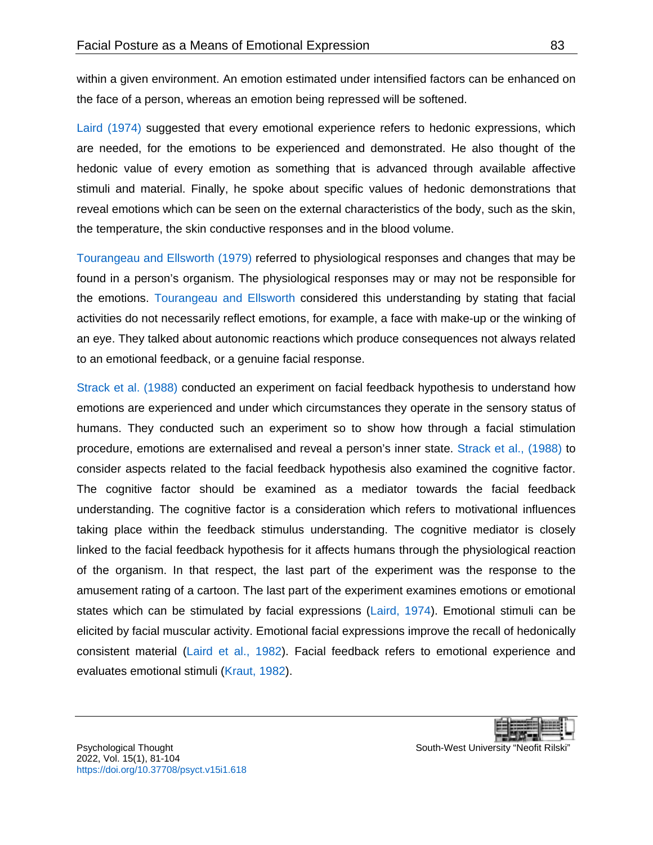within a given environment. An emotion estimated under intensified factors can be enhanced on the face of a person, whereas an emotion being repressed will be softened.

[Laird \(1974\)](#page-17-2) suggested that every emotional experience refers to hedonic expressions, which are needed, for the emotions to be experienced and demonstrated. He also thought of the hedonic value of every emotion as something that is advanced through available affective stimuli and material. Finally, he spoke about specific values of hedonic demonstrations that reveal emotions which can be seen on the external characteristics of the body, such as the skin, the temperature, the skin conductive responses and in the blood volume.

[Tourangeau and](#page-19-0) Ellsworth (1979) referred to physiological responses and changes that may be found in a person's organism. The physiological responses may or may not be responsible for the emotions. [Tourangeau and](#page-19-0) Ellsworth considered this understanding by stating that facial activities do not necessarily reflect emotions, for example, a face with make-up or the winking of an eye. They talked about autonomic reactions which produce consequences not always related to an emotional feedback, or a genuine facial response.

[Strack et al. \(1988\)](#page-18-0) conducted an experiment on facial feedback hypothesis to understand how emotions are experienced and under which circumstances they operate in the sensory status of humans. They conducted such an experiment so to show how through a facial stimulation procedure, emotions are externalised and reveal a person's inner state. [Strack et al., \(1988\)](#page-18-0) to consider aspects related to the facial feedback hypothesis also examined the cognitive factor. The cognitive factor should be examined as a mediator towards the facial feedback understanding. The cognitive factor is a consideration which refers to motivational influences taking place within the feedback stimulus understanding. The cognitive mediator is closely linked to the facial feedback hypothesis for it affects humans through the physiological reaction of the organism. In that respect, the last part of the experiment was the response to the amusement rating of a cartoon. The last part of the experiment examines emotions or emotional states which can be stimulated by facial expressions [\(Laird, 1974\)](#page-17-2). Emotional stimuli can be elicited by facial muscular activity. Emotional facial expressions improve the recall of hedonically consistent material [\(Laird et al., 1982\)](#page-17-3). Facial feedback refers to emotional experience and evaluates emotional stimuli [\(Kraut, 1982\)](#page-17-4).

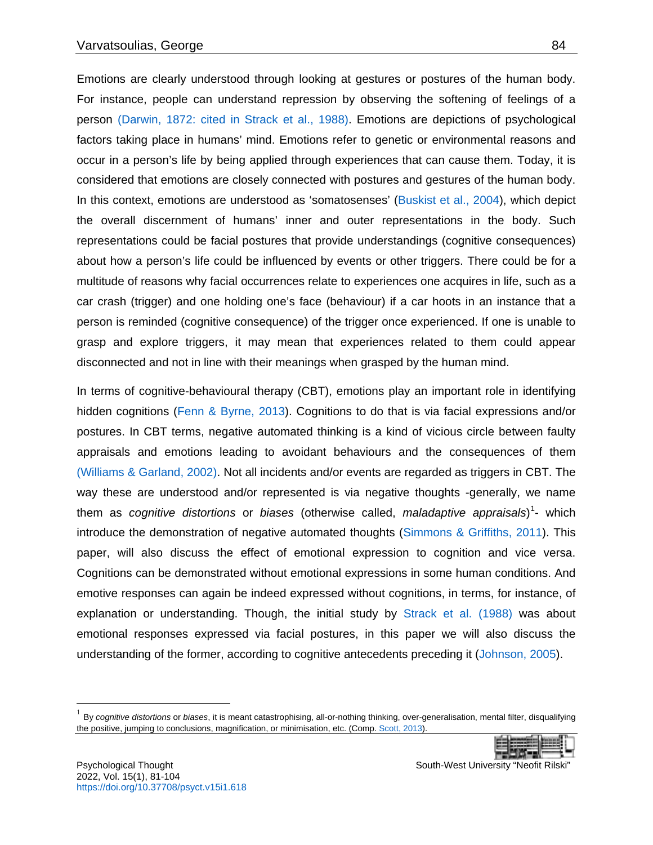Emotions are clearly understood through looking at gestures or postures of the human body. For instance, people can understand repression by observing the softening of feelings of a person [\(Darwin, 1872: cited in Strack et al., 1988\).](#page-18-0) Emotions are depictions of psychological factors taking place in humans' mind. Emotions refer to genetic or environmental reasons and occur in a person's life by being applied through experiences that can cause them. Today, it is considered that emotions are closely connected with postures and gestures of the human body. In this context, emotions are understood as 'somatosenses' [\(Buskist et al., 2004\)](#page-15-2), which depict the overall discernment of humans' inner and outer representations in the body. Such representations could be facial postures that provide understandings (cognitive consequences) about how a person's life could be influenced by events or other triggers. There could be for a multitude of reasons why facial occurrences relate to experiences one acquires in life, such as a car crash (trigger) and one holding one's face (behaviour) if a car hoots in an instance that a person is reminded (cognitive consequence) of the trigger once experienced. If one is unable to grasp and explore triggers, it may mean that experiences related to them could appear disconnected and not in line with their meanings when grasped by the human mind.

In terms of cognitive-behavioural therapy (CBT), emotions play an important role in identifying hidden cognitions [\(Fenn & Byrne, 2013\)](#page-16-2). Cognitions to do that is via facial expressions and/or postures. In CBT terms, negative automated thinking is a kind of vicious circle between faulty appraisals and emotions leading to avoidant behaviours and the consequences of them [\(Williams & Garland, 2002\).](#page-19-1) Not all incidents and/or events are regarded as triggers in CBT. The way these are understood and/or represented is via negative thoughts -generally, we name them as *cognitive distortions* or *biases* (otherwise called, *maladaptive appraisals*)<sup>[1](#page-3-0)</sup>- which introduce the demonstration of negative automated thoughts [\(Simmons & Griffiths, 2011\)](#page-18-4). This paper, will also discuss the effect of emotional expression to cognition and vice versa. Cognitions can be demonstrated without emotional expressions in some human conditions. And emotive responses can again be indeed expressed without cognitions, in terms, for instance, of explanation or understanding. Though, the initial study by [Strack et al. \(1988\)](#page-18-0) was about emotional responses expressed via facial postures, in this paper we will also discuss the understanding of the former, according to cognitive antecedents preceding it [\(Johnson, 2005\)](#page-17-5).

<span id="page-3-0"></span><sup>1</sup> By *cognitive distortions* or *biases*, it is meant catastrophising, all-or-nothing thinking, over-generalisation, mental filter, disqualifying the positive, jumping to conclusions, magnification, or minimisation, etc. (Comp[. Scott, 2013\)](#page-18-5).

l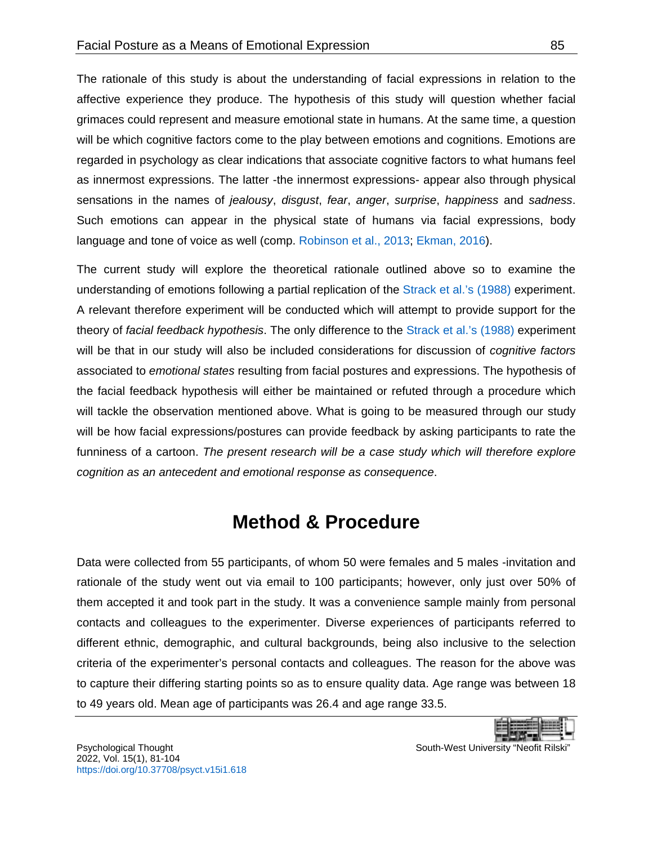The rationale of this study is about the understanding of facial expressions in relation to the affective experience they produce. The hypothesis of this study will question whether facial grimaces could represent and measure emotional state in humans. At the same time, a question will be which cognitive factors come to the play between emotions and cognitions. Emotions are regarded in psychology as clear indications that associate cognitive factors to what humans feel as innermost expressions. The latter -the innermost expressions- appear also through physical sensations in the names of *jealousy*, *disgust*, *fear*, *anger*, *surprise*, *happiness* and *sadness*. Such emotions can appear in the physical state of humans via facial expressions, body language and tone of voice as well (comp. [Robinson et al., 2013;](#page-18-6) [Ekman, 2016\)](#page-16-3).

The current study will explore the theoretical rationale outlined above so to examine the understanding of emotions following a partial replication of the [Strack et al.'s \(1988\)](#page-18-0) experiment. A relevant therefore experiment will be conducted which will attempt to provide support for the theory of *facial feedback hypothesis*. The only difference to the [Strack et al.'s \(1988\)](#page-18-0) experiment will be that in our study will also be included considerations for discussion of *cognitive factors* associated to *emotional states* resulting from facial postures and expressions. The hypothesis of the facial feedback hypothesis will either be maintained or refuted through a procedure which will tackle the observation mentioned above. What is going to be measured through our study will be how facial expressions/postures can provide feedback by asking participants to rate the funniness of a cartoon. *The present research will be a case study which will therefore explore cognition as an antecedent and emotional response as consequence*.

# **Method & Procedure**

<span id="page-4-0"></span>Data were collected from 55 participants, of whom 50 were females and 5 males -invitation and rationale of the study went out via email to 100 participants; however, only just over 50% of them accepted it and took part in the study. It was a convenience sample mainly from personal contacts and colleagues to the experimenter. Diverse experiences of participants referred to different ethnic, demographic, and cultural backgrounds, being also inclusive to the selection criteria of the experimenter's personal contacts and colleagues. The reason for the above was to capture their differing starting points so as to ensure quality data. Age range was between 18 to 49 years old. Mean age of participants was 26.4 and age range 33.5.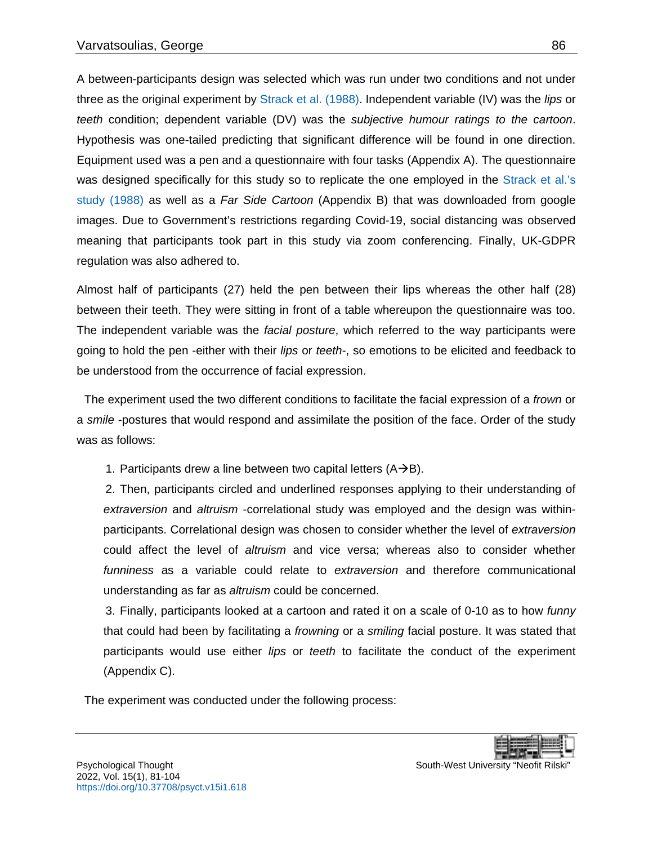A between-participants design was selected which was run under two conditions and not under three as the original experiment by [Strack et al. \(1988\).](#page-18-0) Independent variable (IV) was the *lips* or *teeth* condition; dependent variable (DV) was the *subjective humour ratings to the cartoon*. Hypothesis was one-tailed predicting that significant difference will be found in one direction. Equipment used was a pen and a questionnaire with four tasks (Appendix A). The questionnaire was designed specifically for this study so to replicate the one employed in the Strack et al.'s study [\(1988\)](#page-18-0) as well as a *Far Side Cartoon* (Appendix B) that was downloaded from google images. Due to Government's restrictions regarding Covid-19, social distancing was observed meaning that participants took part in this study via zoom conferencing. Finally, UK-GDPR regulation was also adhered to.

Almost half of participants (27) held the pen between their lips whereas the other half (28) between their teeth. They were sitting in front of a table whereupon the questionnaire was too. The independent variable was the *facial posture*, which referred to the way participants were going to hold the pen -either with their *lips* or *teeth*-, so emotions to be elicited and feedback to be understood from the occurrence of facial expression.

The experiment used the two different conditions to facilitate the facial expression of a *frown* or a *smile* -postures that would respond and assimilate the position of the face. Order of the study was as follows:

1. Participants drew a line between two capital letters  $(A\rightarrow B)$ .

2. Then, participants circled and underlined responses applying to their understanding of *extraversion* and *altruism* -correlational study was employed and the design was withinparticipants. Correlational design was chosen to consider whether the level of *extraversion* could affect the level of *altruism* and vice versa; whereas also to consider whether *funniness* as a variable could relate to *extraversion* and therefore communicational understanding as far as *altruism* could be concerned.

3. Finally, participants looked at a cartoon and rated it on a scale of 0-10 as to how *funny* that could had been by facilitating a *frowning* or a *smiling* facial posture. It was stated that participants would use either *lips* or *teeth* to facilitate the conduct of the experiment (Appendix C).

The experiment was conducted under the following process:

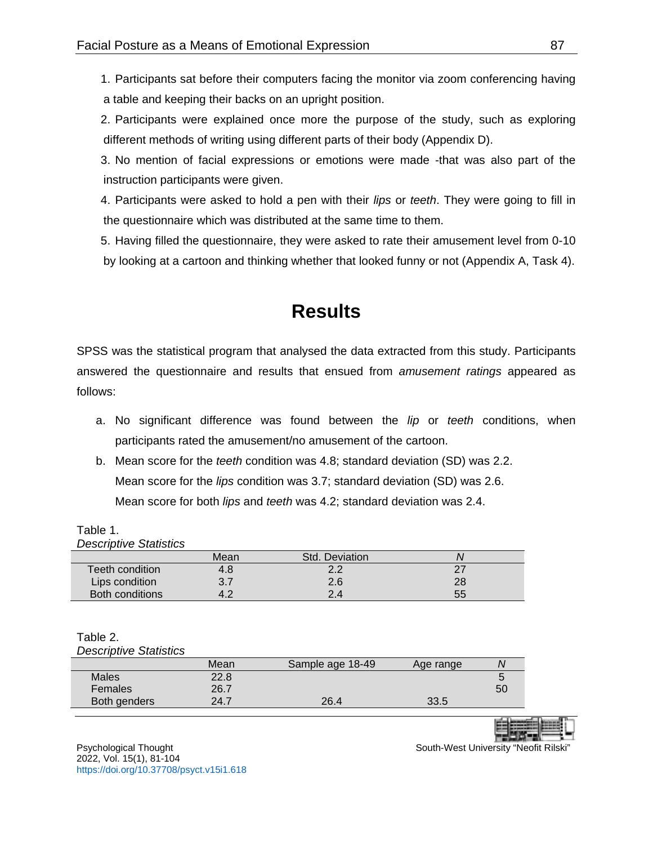1. Participants sat before their computers facing the monitor via zoom conferencing having a table and keeping their backs on an upright position.

2. Participants were explained once more the purpose of the study, such as exploring different methods of writing using different parts of their body (Appendix D).

3. No mention of facial expressions or emotions were made -that was also part of the instruction participants were given.

4. Participants were asked to hold a pen with their *lips* or *teeth*. They were going to fill in the questionnaire which was distributed at the same time to them.

<span id="page-6-0"></span>5. Having filled the questionnaire, they were asked to rate their amusement level from 0-10 by looking at a cartoon and thinking whether that looked funny or not (Appendix A, Task 4).

# **Results**

SPSS was the statistical program that analysed the data extracted from this study. Participants answered the questionnaire and results that ensued from *amusement ratings* appeared as follows:

- a. No significant difference was found between the *lip* or *teeth* conditions, when participants rated the amusement/no amusement of the cartoon.
- b. Mean score for the *teeth* condition was 4.8; standard deviation (SD) was 2.2. Mean score for the *lips* condition was 3.7; standard deviation (SD) was 2.6. Mean score for both *lips* and *teeth* was 4.2; standard deviation was 2.4.

|  |  | mean sourc for both lips and tocal was -, standard deviat |  |
|--|--|-----------------------------------------------------------|--|
|  |  |                                                           |  |
|  |  |                                                           |  |

| Table 1. |                               |
|----------|-------------------------------|
|          | <b>Descriptive Statistics</b> |

|                        | Mean | Std. Deviation |    |
|------------------------|------|----------------|----|
| Teeth condition        | 4.8  | റ റ            |    |
| Lips condition         | 3.7  | 2.6            | 28 |
| <b>Both conditions</b> | 4.2  | 2.4            | 55 |

## Table 2.

*Descriptive Statistics*

|              | Mean | Sample age 18-49 | Age range | N  |
|--------------|------|------------------|-----------|----|
| <b>Males</b> | 22.8 |                  |           |    |
| Females      | 26.7 |                  |           | 50 |
| Both genders | 24.7 | 26.4             | 33.5      |    |
|              |      |                  |           |    |



Psychological Thought **South-West University "Neofit Rilski**" South-West University "Neofit Rilski" 2022, Vol. 15(1), 81-104 <https://doi.org/10.37708/psyct.v15i1.618>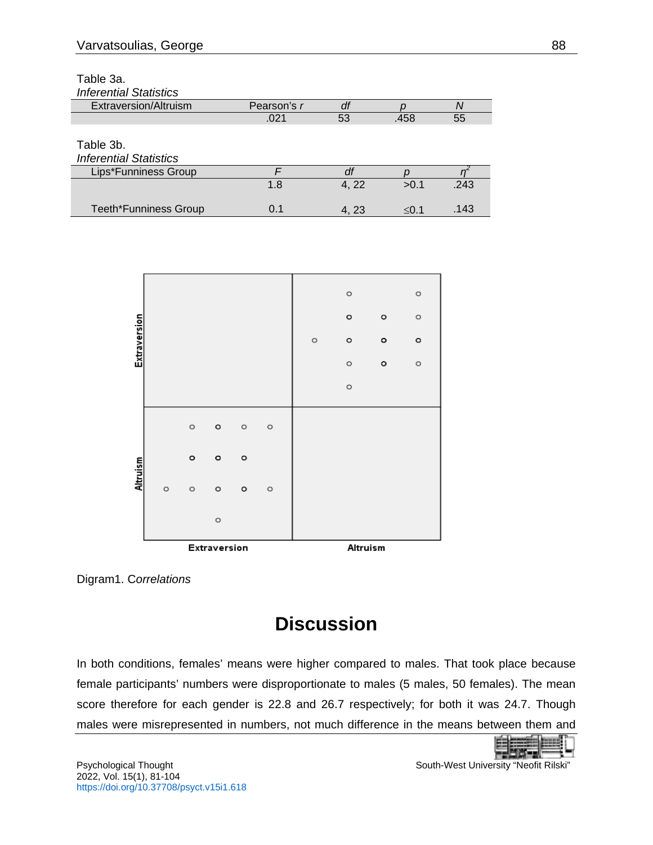Table 3a.

| <b>Inferential Statistics</b> |             |       |            |      |
|-------------------------------|-------------|-------|------------|------|
| Extraversion/Altruism         | Pearson's r | df    |            |      |
|                               | .021        | 53    | .458       | 55   |
|                               |             |       |            |      |
| Table 3b.                     |             |       |            |      |
| <b>Inferential Statistics</b> |             |       |            |      |
| Lips*Funniness Group          |             |       |            |      |
|                               | 1.8         | 4, 22 | >0.1       | .243 |
| <b>Teeth*Funniness Group</b>  | 0.1         |       | $\leq 0.1$ | .143 |
|                               |             | 4, 23 |            |      |



<span id="page-7-0"></span>Digram1. C*orrelations*

# **Discussion**

In both conditions, females' means were higher compared to males. That took place because female participants' numbers were disproportionate to males (5 males, 50 females). The mean score therefore for each gender is 22.8 and 26.7 respectively; for both it was 24.7. Though males were misrepresented in numbers, not much difference in the means between them and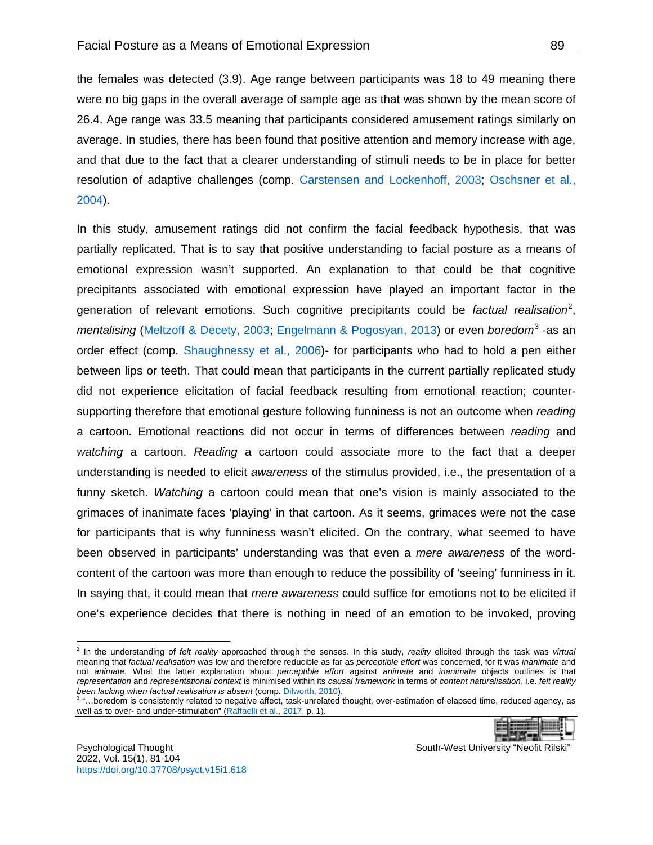the females was detected (3.9). Age range between participants was 18 to 49 meaning there were no big gaps in the overall average of sample age as that was shown by the mean score of 26.4. Age range was 33.5 meaning that participants considered amusement ratings similarly on average. In studies, there has been found that positive attention and memory increase with age, and that due to the fact that a clearer understanding of stimuli needs to be in place for better resolution of adaptive challenges (comp. [Carstensen and Lockenhoff, 2003;](#page-15-3) [Oschsner et al.,](#page-18-7)  [2004\)](#page-18-7).

In this study, amusement ratings did not confirm the facial feedback hypothesis, that was partially replicated. That is to say that positive understanding to facial posture as a means of emotional expression wasn't supported. An explanation to that could be that cognitive precipitants associated with emotional expression have played an important factor in the generation of relevant emotions. Such cognitive precipitants could be *factual realisation*[2](#page-8-0) , *mentalising* [\(Meltzoff & Decety, 2003;](#page-17-6) [Engelmann & Pogosyan, 2013\)](#page-16-4) or even *boredom*[3](#page-8-1) -as an order effect (comp. [Shaughnessy et al., 2006\)](#page-18-8)- for participants who had to hold a pen either between lips or teeth. That could mean that participants in the current partially replicated study did not experience elicitation of facial feedback resulting from emotional reaction; countersupporting therefore that emotional gesture following funniness is not an outcome when *reading* a cartoon. Emotional reactions did not occur in terms of differences between *reading* and *watching* a cartoon. *Reading* a cartoon could associate more to the fact that a deeper understanding is needed to elicit *awareness* of the stimulus provided, i.e., the presentation of a funny sketch. *Watching* a cartoon could mean that one's vision is mainly associated to the grimaces of inanimate faces 'playing' in that cartoon. As it seems, grimaces were not the case for participants that is why funniness wasn't elicited. On the contrary, what seemed to have been observed in participants' understanding was that even a *mere awareness* of the wordcontent of the cartoon was more than enough to reduce the possibility of 'seeing' funniness in it. In saying that, it could mean that *mere awareness* could suffice for emotions not to be elicited if one's experience decides that there is nothing in need of an emotion to be invoked, proving

<span id="page-8-1"></span>*been lacking when factual realisation is absent* (comp. [Dilworth, 2010\)](#page-16-5). <sup>3</sup> "…boredom is consistently related to negative affect, task-unrelated thought, over-estimation of elapsed time, reduced agency, as well as to over- and under-stimulation" [\(Raffaelli et al., 2017,](#page-18-9) p. 1).

|--|--|

l

<span id="page-8-0"></span><sup>2</sup> In the understanding of *felt reality* approached through the senses. In this study, *reality* elicited through the task was *virtual* meaning that *factual realisation* was low and therefore reducible as far as *perceptible effort* was concerned, for it was *inanimate* and not *animate*. What the latter explanation about *perceptible effort* against *animate* and *inanimate* objects outlines is that *representation* and *representational context* is minimised within its *causal framework* in terms of *content naturalisation*, i.e. *felt reality been lacking when factual realisation is absent* (comp. Dilworth, 2010).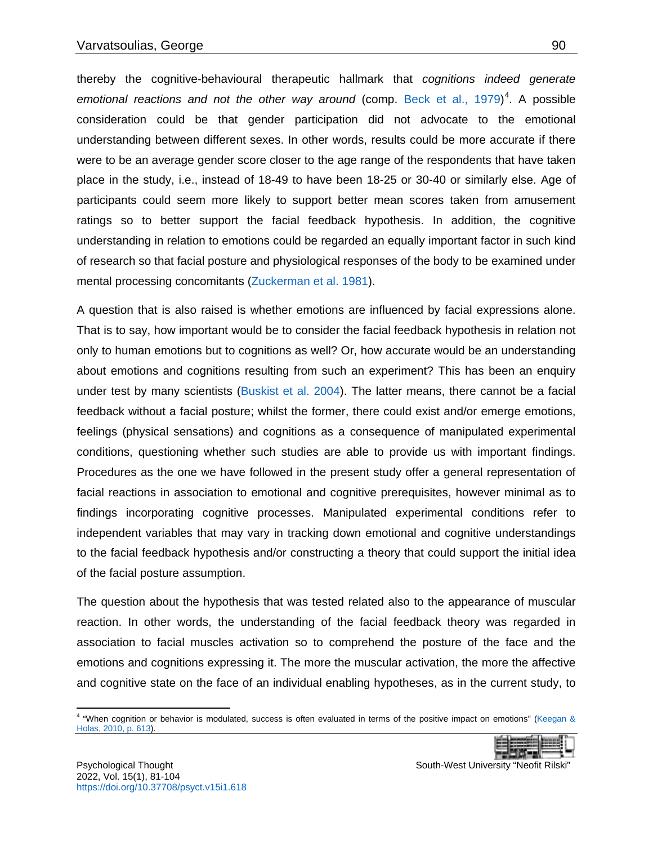thereby the cognitive-behavioural therapeutic hallmark that *cognitions indeed generate*  emotional reactions and not the other way around (comp. [Beck et al., 1979\)](#page-15-4)<sup>[4](#page-9-0)</sup>. A possible consideration could be that gender participation did not advocate to the emotional understanding between different sexes. In other words, results could be more accurate if there were to be an average gender score closer to the age range of the respondents that have taken place in the study, i.e., instead of 18-49 to have been 18-25 or 30-40 or similarly else. Age of participants could seem more likely to support better mean scores taken from amusement ratings so to better support the facial feedback hypothesis. In addition, the cognitive understanding in relation to emotions could be regarded an equally important factor in such kind of research so that facial posture and physiological responses of the body to be examined under mental processing concomitants [\(Zuckerman et al. 1981\)](#page-19-2).

A question that is also raised is whether emotions are influenced by facial expressions alone. That is to say, how important would be to consider the facial feedback hypothesis in relation not only to human emotions but to cognitions as well? Or, how accurate would be an understanding about emotions and cognitions resulting from such an experiment? This has been an enquiry under test by many scientists [\(Buskist et al. 2004\)](#page-15-2). The latter means, there cannot be a facial feedback without a facial posture; whilst the former, there could exist and/or emerge emotions, feelings (physical sensations) and cognitions as a consequence of manipulated experimental conditions, questioning whether such studies are able to provide us with important findings. Procedures as the one we have followed in the present study offer a general representation of facial reactions in association to emotional and cognitive prerequisites, however minimal as to findings incorporating cognitive processes. Manipulated experimental conditions refer to independent variables that may vary in tracking down emotional and cognitive understandings to the facial feedback hypothesis and/or constructing a theory that could support the initial idea of the facial posture assumption.

The question about the hypothesis that was tested related also to the appearance of muscular reaction. In other words, the understanding of the facial feedback theory was regarded in association to facial muscles activation so to comprehend the posture of the face and the emotions and cognitions expressing it. The more the muscular activation, the more the affective and cognitive state on the face of an individual enabling hypotheses, as in the current study, to

<span id="page-9-0"></span><sup>4</sup> "When cognition or behavior is modulated, success is often evaluated in terms of the positive impact on emotions" [\(Keegan &](#page-17-7)  [Holas, 2010, p. 613\).](#page-17-7)  $\overline{a}$ 

|--|

Psychological Thought South-West University "Neofit Rilski"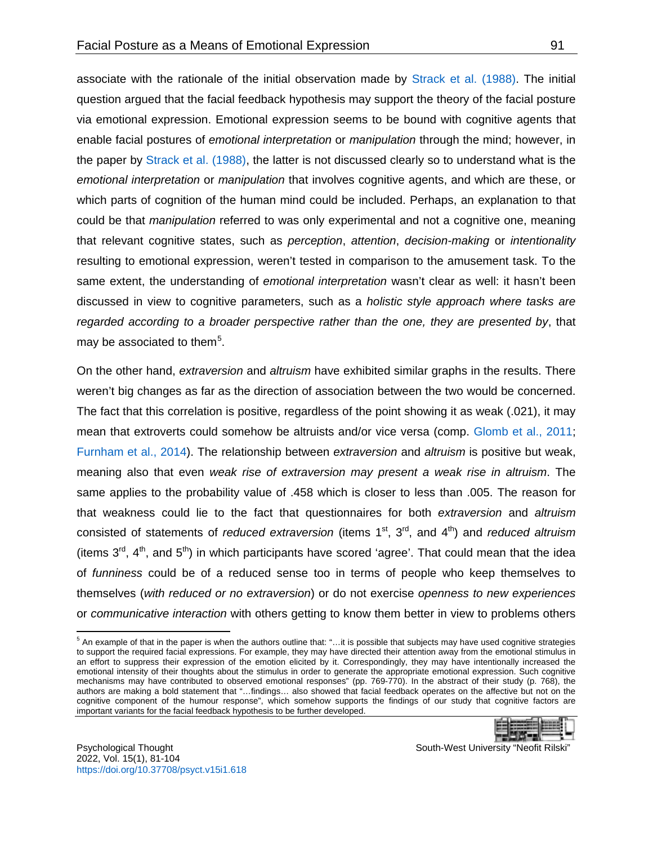associate with the rationale of the initial observation made by [Strack et al. \(1988\).](#page-18-0) The initial question argued that the facial feedback hypothesis may support the theory of the facial posture via emotional expression. Emotional expression seems to be bound with cognitive agents that enable facial postures of *emotional interpretation* or *manipulation* through the mind; however, in the paper by [Strack et al. \(1988\),](#page-18-0) the latter is not discussed clearly so to understand what is the *emotional interpretation* or *manipulation* that involves cognitive agents, and which are these, or which parts of cognition of the human mind could be included. Perhaps, an explanation to that could be that *manipulation* referred to was only experimental and not a cognitive one, meaning that relevant cognitive states, such as *perception*, *attention*, *decision-making* or *intentionality* resulting to emotional expression, weren't tested in comparison to the amusement task. To the same extent, the understanding of *emotional interpretation* wasn't clear as well: it hasn't been discussed in view to cognitive parameters, such as a *holistic style approach where tasks are regarded according to a broader perspective rather than the one, they are presented by*, that may be associated to them<sup>[5](#page-10-0)</sup>.

On the other hand, *extraversion* and *altruism* have exhibited similar graphs in the results. There weren't big changes as far as the direction of association between the two would be concerned. The fact that this correlation is positive, regardless of the point showing it as weak (.021), it may mean that extroverts could somehow be altruists and/or vice versa (comp. [Glomb et al., 2011;](#page-16-6) [Furnham et al., 2014\)](#page-16-7). The relationship between *extraversion* and *altruism* is positive but weak, meaning also that even *weak rise of extraversion may present a weak rise in altruism*. The same applies to the probability value of .458 which is closer to less than .005. The reason for that weakness could lie to the fact that questionnaires for both *extraversion* and *altruism* consisted of statements of *reduced extraversion* (items 1<sup>st</sup>, 3<sup>rd</sup>, and 4<sup>th</sup>) and *reduced altruism* (items  $3<sup>rd</sup>$ , 4<sup>th</sup>, and 5<sup>th</sup>) in which participants have scored 'agree'. That could mean that the idea of *funniness* could be of a reduced sense too in terms of people who keep themselves to themselves (*with reduced or no extraversion*) or do not exercise *openness to new experiences* or *communicative interaction* with others getting to know them better in view to problems others

<span id="page-10-0"></span> $5$  An example of that in the paper is when the authors outline that: "...it is possible that subjects may have used cognitive strategies to support the required facial expressions. For example, they may have directed their attention away from the emotional stimulus in an effort to suppress their expression of the emotion elicited by it. Correspondingly, they may have intentionally increased the emotional intensity of their thoughts about the stimulus in order to generate the appropriate emotional expression. Such cognitive mechanisms may have contributed to observed emotional responses" (pp. 769-770). In the abstract of their study (p. 768), the authors are making a bold statement that "…findings… also showed that facial feedback operates on the affective but not on the cognitive component of the humour response", which somehow supports the findings of our study that cognitive factors are important variants for the facial feedback hypothesis to be further developed.

|--|--|

Psychological Thought South-West University "Neofit Rilski" 2022, Vol. 15(1), 81-104 <https://doi.org/10.37708/psyct.v15i1.618>

 $\overline{\phantom{a}}$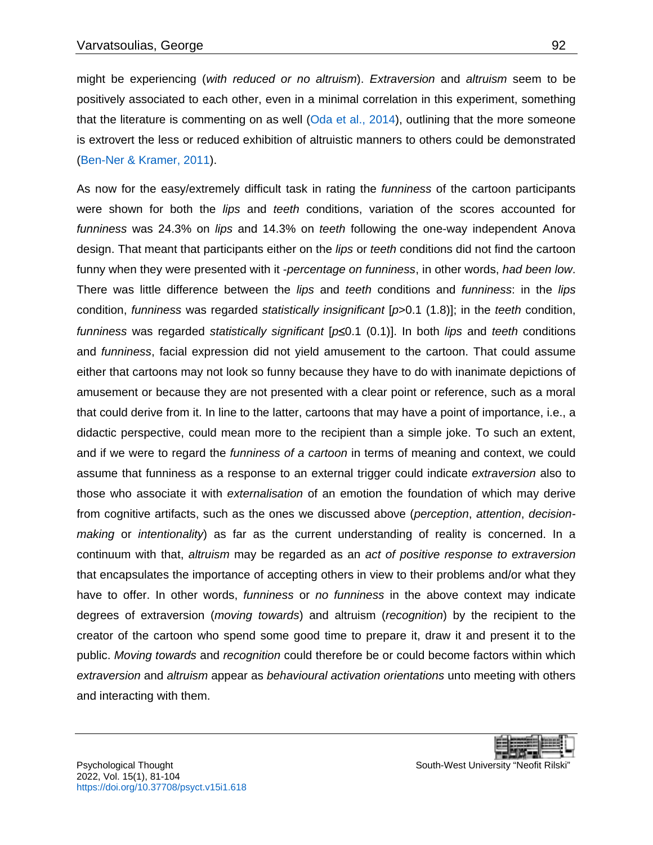might be experiencing (*with reduced or no altruism*). *Extraversion* and *altruism* seem to be positively associated to each other, even in a minimal correlation in this experiment, something that the literature is commenting on as well [\(Oda et al., 2014\)](#page-18-10), outlining that the more someone is extrovert the less or reduced exhibition of altruistic manners to others could be demonstrated [\(Ben-Ner & Kramer, 2011\)](#page-15-5).

As now for the easy/extremely difficult task in rating the *funniness* of the cartoon participants were shown for both the *lips* and *teeth* conditions, variation of the scores accounted for *funniness* was 24.3% on *lips* and 14.3% on *teeth* following the one-way independent Anova design. That meant that participants either on the *lips* or *teeth* conditions did not find the cartoon funny when they were presented with it -*percentage on funniness*, in other words, *had been low*. There was little difference between the *lips* and *teeth* conditions and *funniness*: in the *lips* condition, *funniness* was regarded *statistically insignificant* [*p*>0.1 (1.8)]; in the *teeth* condition, *funniness* was regarded *statistically significant* [*p*≤0.1 (0.1)]. In both *lips* and *teeth* conditions and *funniness*, facial expression did not yield amusement to the cartoon. That could assume either that cartoons may not look so funny because they have to do with inanimate depictions of amusement or because they are not presented with a clear point or reference, such as a moral that could derive from it. In line to the latter, cartoons that may have a point of importance, i.e., a didactic perspective, could mean more to the recipient than a simple joke. To such an extent, and if we were to regard the *funniness of a cartoon* in terms of meaning and context, we could assume that funniness as a response to an external trigger could indicate *extraversion* also to those who associate it with *externalisation* of an emotion the foundation of which may derive from cognitive artifacts, such as the ones we discussed above (*perception*, *attention*, *decisionmaking* or *intentionality*) as far as the current understanding of reality is concerned. In a continuum with that, *altruism* may be regarded as an *act of positive response to extraversion* that encapsulates the importance of accepting others in view to their problems and/or what they have to offer. In other words, *funniness* or *no funniness* in the above context may indicate degrees of extraversion (*moving towards*) and altruism (*recognition*) by the recipient to the creator of the cartoon who spend some good time to prepare it, draw it and present it to the public. *Moving towards* and *recognition* could therefore be or could become factors within which *extraversion* and *altruism* appear as *behavioural activation orientations* unto meeting with others and interacting with them.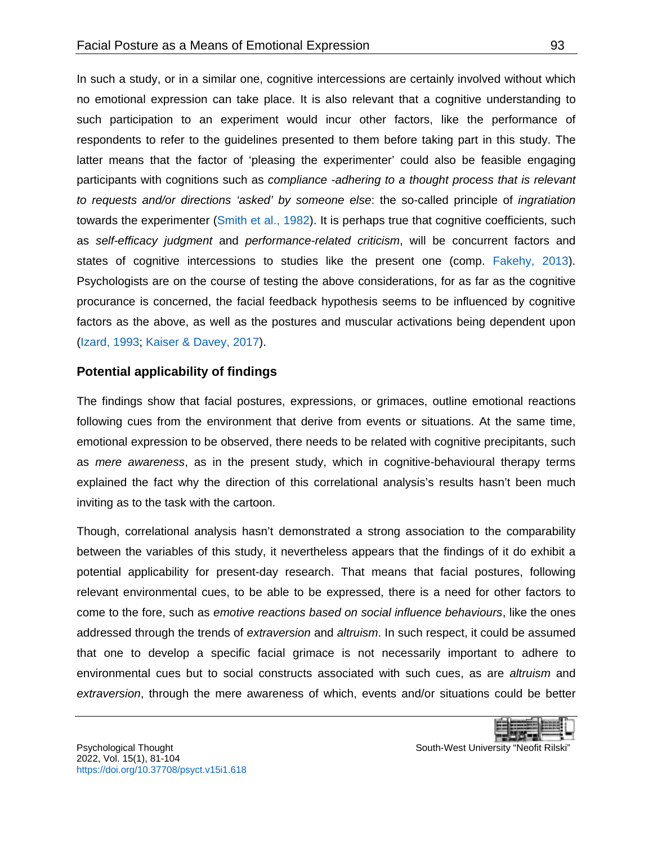In such a study, or in a similar one, cognitive intercessions are certainly involved without which no emotional expression can take place. It is also relevant that a cognitive understanding to such participation to an experiment would incur other factors, like the performance of respondents to refer to the guidelines presented to them before taking part in this study. The latter means that the factor of 'pleasing the experimenter' could also be feasible engaging participants with cognitions such as *compliance* -*adhering to a thought process that is relevant to requests and/or directions 'asked' by someone else*: the so-called principle of *ingratiation* towards the experimenter [\(Smith et al., 1982\)](#page-18-11). It is perhaps true that cognitive coefficients, such as *self-efficacy judgment* and *performance-related criticism*, will be concurrent factors and states of cognitive intercessions to studies like the present one (comp. [Fakehy, 2013\)](#page-16-8). Psychologists are on the course of testing the above considerations, for as far as the cognitive procurance is concerned, the facial feedback hypothesis seems to be influenced by cognitive factors as the above, as well as the postures and muscular activations being dependent upon [\(Izard, 1993;](#page-16-9) [Kaiser & Davey, 2017\)](#page-17-8).

#### **Potential applicability of findings**

The findings show that facial postures, expressions, or grimaces, outline emotional reactions following cues from the environment that derive from events or situations. At the same time, emotional expression to be observed, there needs to be related with cognitive precipitants, such as *mere awareness*, as in the present study, which in cognitive-behavioural therapy terms explained the fact why the direction of this correlational analysis's results hasn't been much inviting as to the task with the cartoon.

Though, correlational analysis hasn't demonstrated a strong association to the comparability between the variables of this study, it nevertheless appears that the findings of it do exhibit a potential applicability for present-day research. That means that facial postures, following relevant environmental cues, to be able to be expressed, there is a need for other factors to come to the fore, such as *emotive reactions based on social influence behaviours*, like the ones addressed through the trends of *extraversion* and *altruism*. In such respect, it could be assumed that one to develop a specific facial grimace is not necessarily important to adhere to environmental cues but to social constructs associated with such cues, as are *altruism* and *extraversion*, through the mere awareness of which, events and/or situations could be better

|--|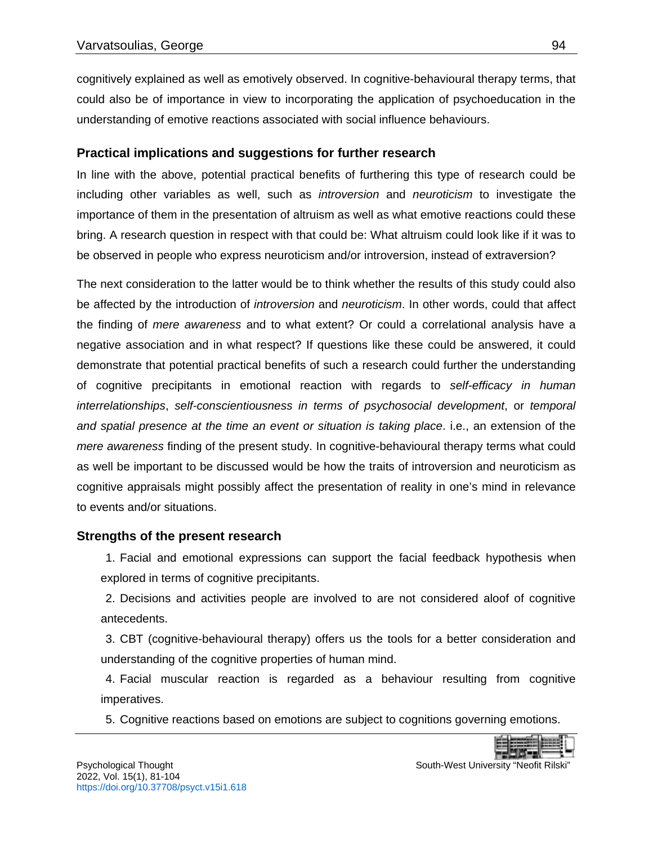cognitively explained as well as emotively observed. In cognitive-behavioural therapy terms, that could also be of importance in view to incorporating the application of psychoeducation in the understanding of emotive reactions associated with social influence behaviours.

## **Practical implications and suggestions for further research**

In line with the above, potential practical benefits of furthering this type of research could be including other variables as well, such as *introversion* and *neuroticism* to investigate the importance of them in the presentation of altruism as well as what emotive reactions could these bring. A research question in respect with that could be: What altruism could look like if it was to be observed in people who express neuroticism and/or introversion, instead of extraversion?

The next consideration to the latter would be to think whether the results of this study could also be affected by the introduction of *introversion* and *neuroticism*. In other words, could that affect the finding of *mere awareness* and to what extent? Or could a correlational analysis have a negative association and in what respect? If questions like these could be answered, it could demonstrate that potential practical benefits of such a research could further the understanding of cognitive precipitants in emotional reaction with regards to *self-efficacy in human interrelationships*, *self-conscientiousness in terms of psychosocial development*, or *temporal and spatial presence at the time an event or situation is taking place*. i.e., an extension of the *mere awareness* finding of the present study. In cognitive-behavioural therapy terms what could as well be important to be discussed would be how the traits of introversion and neuroticism as cognitive appraisals might possibly affect the presentation of reality in one's mind in relevance to events and/or situations.

## **Strengths of the present research**

1. Facial and emotional expressions can support the facial feedback hypothesis when explored in terms of cognitive precipitants.

2. Decisions and activities people are involved to are not considered aloof of cognitive antecedents.

3. CBT (cognitive-behavioural therapy) offers us the tools for a better consideration and understanding of the cognitive properties of human mind.

4. Facial muscular reaction is regarded as a behaviour resulting from cognitive imperatives.

5. Cognitive reactions based on emotions are subject to cognitions governing emotions.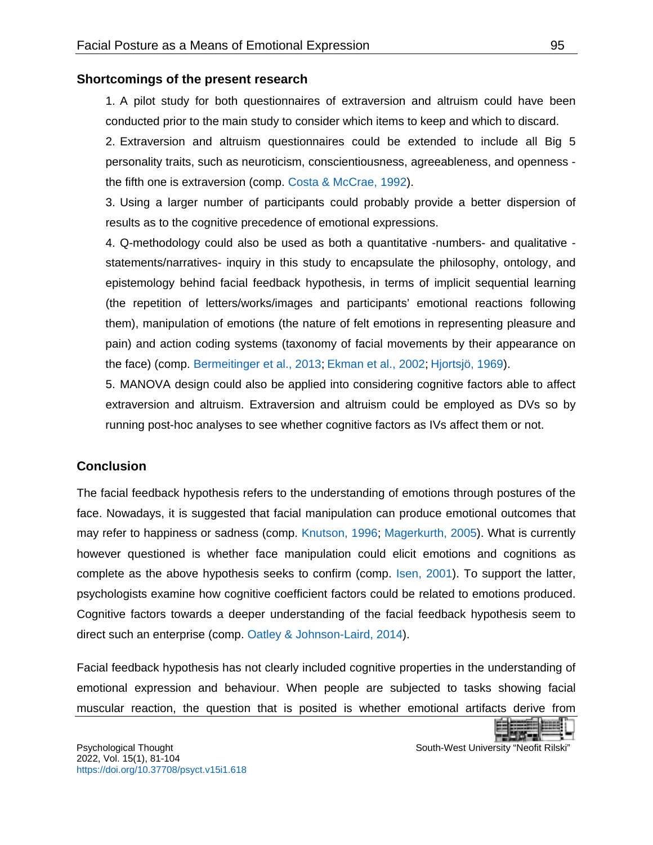#### **Shortcomings of the present research**

1. A pilot study for both questionnaires of extraversion and altruism could have been conducted prior to the main study to consider which items to keep and which to discard.

2. Extraversion and altruism questionnaires could be extended to include all Big 5 personality traits, such as neuroticism, conscientiousness, agreeableness, and openness the fifth one is extraversion (comp. [Costa & McCrae, 1992\)](#page-16-10).

3. Using a larger number of participants could probably provide a better dispersion of results as to the cognitive precedence of emotional expressions.

4. Q-methodology could also be used as both a quantitative -numbers- and qualitative statements/narratives- inquiry in this study to encapsulate the philosophy, ontology, and epistemology behind facial feedback hypothesis, in terms of implicit sequential learning (the repetition of letters/works/images and participants' emotional reactions following them), manipulation of emotions (the nature of felt emotions in representing pleasure and pain) and action coding systems (taxonomy of facial movements by their appearance on the face) (comp. [Bermeitinger et al., 2013;](#page-15-6) [Ekman et al., 2002;](#page-16-11) [Hjortsjö, 1969\)](#page-16-12).

5. MANOVA design could also be applied into considering cognitive factors able to affect extraversion and altruism. Extraversion and altruism could be employed as DVs so by running post-hoc analyses to see whether cognitive factors as IVs affect them or not.

## <span id="page-14-0"></span>**Conclusion**

The facial feedback hypothesis refers to the understanding of emotions through postures of the face. Nowadays, it is suggested that facial manipulation can produce emotional outcomes that may refer to happiness or sadness (comp. [Knutson, 1996;](#page-17-9) [Magerkurth, 2005\)](#page-17-10). What is currently however questioned is whether face manipulation could elicit emotions and cognitions as complete as the above hypothesis seeks to confirm (comp. [Isen, 2001\)](#page-16-13). To support the latter, psychologists examine how cognitive coefficient factors could be related to emotions produced. Cognitive factors towards a deeper understanding of the facial feedback hypothesis seem to direct such an enterprise (comp. [Oatley & Johnson-Laird, 2014\)](#page-17-11).

Facial feedback hypothesis has not clearly included cognitive properties in the understanding of emotional expression and behaviour. When people are subjected to tasks showing facial muscular reaction, the question that is posited is whether emotional artifacts derive from

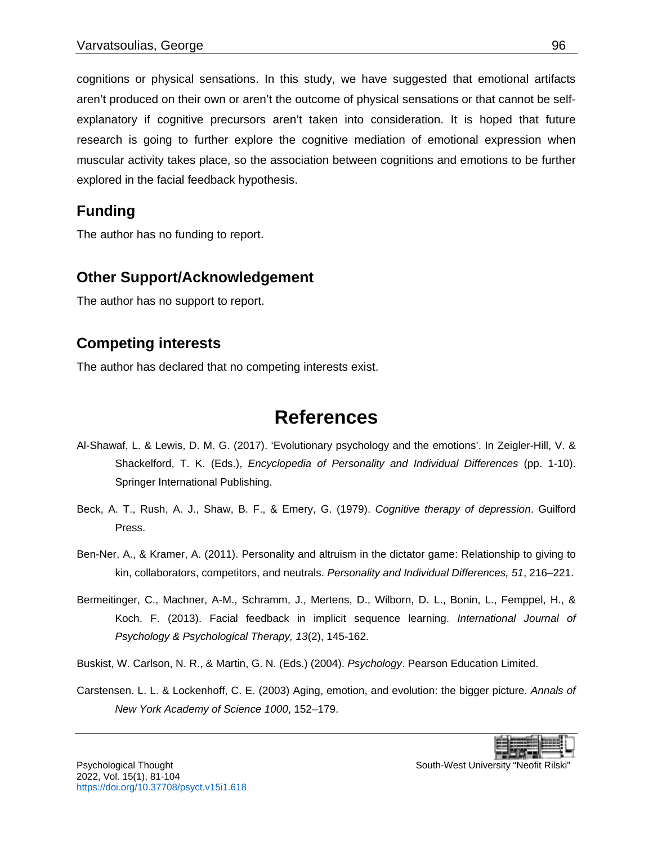cognitions or physical sensations. In this study, we have suggested that emotional artifacts aren't produced on their own or aren't the outcome of physical sensations or that cannot be selfexplanatory if cognitive precursors aren't taken into consideration. It is hoped that future research is going to further explore the cognitive mediation of emotional expression when muscular activity takes place, so the association between cognitions and emotions to be further explored in the facial feedback hypothesis.

## **Funding**

The author has no funding to report.

## **Other Support/Acknowledgement**

The author has no support to report.

## **Competing interests**

<span id="page-15-0"></span>The author has declared that no competing interests exist.

# <span id="page-15-4"></span><span id="page-15-1"></span>**References**

- Al-Shawaf, L. & Lewis, D. M. G. (2017). 'Evolutionary psychology and the emotions'. In Zeigler-Hill, V. & Shackelford, T. K. (Eds.), *Encyclopedia of Personality and Individual Differences* (pp. 1-10). Springer International Publishing.
- Beck, A. T., Rush, A. J., Shaw, B. F., & Emery, G. (1979). *Cognitive therapy of depression*. Guilford Press.
- <span id="page-15-5"></span>Ben-Ner, A., & Kramer, A. (2011). Personality and altruism in the dictator game: Relationship to giving to kin, collaborators, competitors, and neutrals. *Personality and Individual Differences, 51*, 216–221.
- <span id="page-15-6"></span>Bermeitinger, C., Machner, A-M., Schramm, J., Mertens, D., Wilborn, D. L., Bonin, L., Femppel, H., & Koch. F. (2013). Facial feedback in implicit sequence learning. *International Journal of Psychology & Psychological Therapy, 13*(2), 145-162.
- Buskist, W. Carlson, N. R., & Martin, G. N. (Eds.) (2004). *Psychology*. Pearson Education Limited.
- <span id="page-15-3"></span>Carstensen. L. L. & Lockenhoff, C. E. (2003) Aging, emotion, and evolution: the bigger picture. *Annals of New York Academy of Science 1000*, 152–179.

<span id="page-15-2"></span>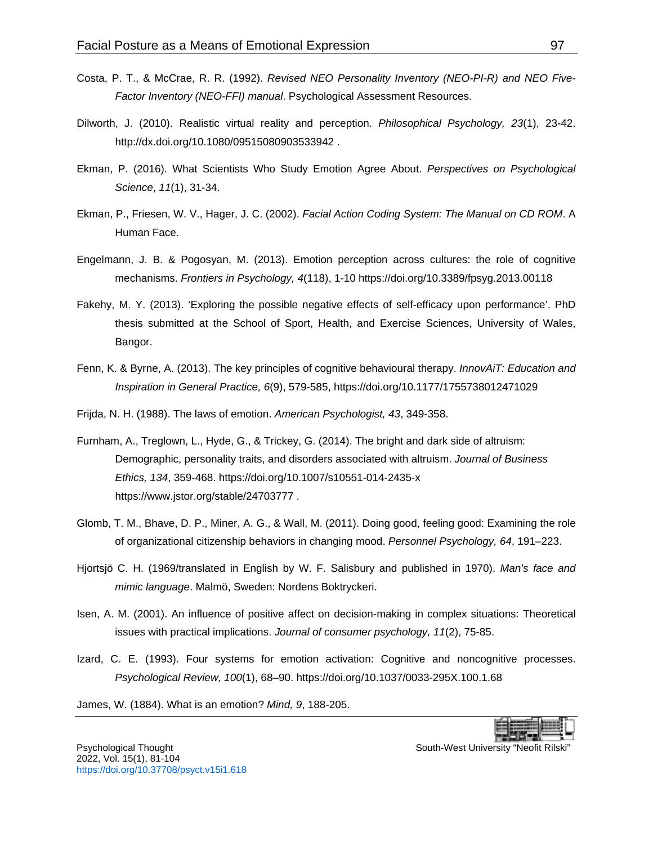- <span id="page-16-10"></span>Costa, P. T., & McCrae, R. R. (1992). *Revised NEO Personality Inventory (NEO-PI-R) and NEO Five-Factor Inventory (NEO-FFI) manual*. Psychological Assessment Resources.
- <span id="page-16-5"></span>Dilworth, J. (2010). Realistic virtual reality and perception. *Philosophical Psychology, 23*(1), 23-42. <http://dx.doi.org/10.1080/09515080903533942> .
- <span id="page-16-3"></span>Ekman, P. (2016). What Scientists Who Study Emotion Agree About. *Perspectives on Psychological Science*, *11*(1), 31-34.
- <span id="page-16-11"></span>Ekman, P., Friesen, W. V., Hager, J. C. (2002). *Facial Action Coding System: The Manual on CD ROM*. A Human Face.
- <span id="page-16-4"></span>Engelmann, J. B. & Pogosyan, M. (2013). Emotion perception across cultures: the role of cognitive mechanisms. *Frontiers in Psychology, 4*(118), 1-10<https://doi.org/10.3389/fpsyg.2013.00118>
- <span id="page-16-8"></span>Fakehy, M. Y. (2013). 'Exploring the possible negative effects of self-efficacy upon performance'. PhD thesis submitted at the School of Sport, Health, and Exercise Sciences, University of Wales, Bangor.
- <span id="page-16-2"></span>Fenn, K. & Byrne, A. (2013). The key principles of cognitive behavioural therapy. *InnovAiT: Education and Inspiration in General Practice, 6*(9), 579-585, [https://doi.org/10.1177/1755738012471029](https://doi.org/10.1177%2F1755738012471029)
- <span id="page-16-1"></span>Frijda, N. H. (1988). The laws of emotion. *American Psychologist, 43*, 349-358.
- <span id="page-16-7"></span>Furnham, A., Treglown, L., Hyde, G., & Trickey, G. (2014). The bright and dark side of altruism: Demographic, personality traits, and disorders associated with altruism. *Journal of Business Ethics, 134*, 359-468. <https://doi.org/10.1007/s10551-014-2435-x> <https://www.jstor.org/stable/24703777> .
- <span id="page-16-6"></span>Glomb, T. M., Bhave, D. P., Miner, A. G., & Wall, M. (2011). Doing good, feeling good: Examining the role of organizational citizenship behaviors in changing mood. *Personnel Psychology, 64*, 191–223.
- <span id="page-16-12"></span>Hjortsjö C. H. (1969/translated in English by W. F. Salisbury and published in 1970). *Man's face and mimic language*. Malmö, Sweden: Nordens Boktryckeri.
- <span id="page-16-13"></span>Isen, A. M. (2001). An influence of positive affect on decision-making in complex situations: Theoretical issues with practical implications. *Journal of consumer psychology, 11*(2), 75-85.
- <span id="page-16-9"></span>Izard, C. E. (1993). Four systems for emotion activation: Cognitive and noncognitive processes. *Psychological Review, 100*(1), 68–90.<https://doi.org/10.1037/0033-295X.100.1.68>

<span id="page-16-0"></span>James, W. (1884). What is an emotion? *Mind, 9*, 188-205.



2022, Vol. 15(1), 81-104 <https://doi.org/10.37708/psyct.v15i1.618>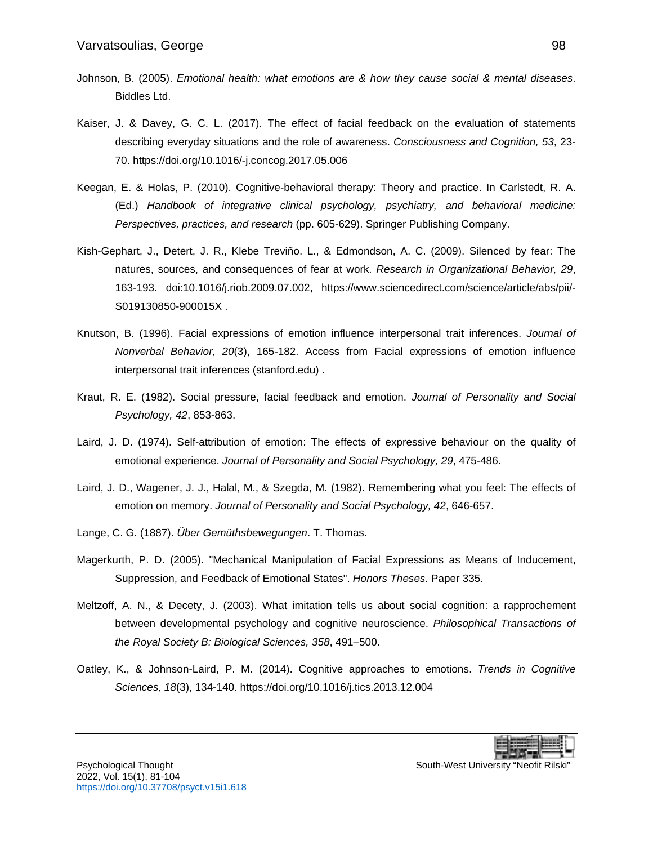- <span id="page-17-5"></span>Johnson, B. (2005). *Emotional health: what emotions are & how they cause social & mental diseases*. Biddles Ltd.
- <span id="page-17-8"></span>Kaiser, J. & Davey, G. C. L. (2017). The effect of facial feedback on the evaluation of statements describing everyday situations and the role of awareness. *Consciousness and Cognition, 53*, 23- 70.<https://doi.org/10.1016/-j.concog.2017.05.006>
- <span id="page-17-7"></span>Keegan, E. & Holas, P. (2010). Cognitive-behavioral therapy: Theory and practice. In Carlstedt, R. A. (Ed.) *Handbook of integrative clinical psychology, psychiatry, and behavioral medicine: Perspectives, practices, and research* (pp. 605-629). Springer Publishing Company.
- <span id="page-17-0"></span>Kish-Gephart, J., Detert, J. R., Klebe Treviño. L., & Edmondson, A. C. (2009). Silenced by fear: The natures, sources, and consequences of fear at work. *Research in Organizational Behavior, 29*, 163-193. doi:10.1016/j.riob.2009.07.002, [https://www.sciencedirect.com/science/article/abs/pii/-](https://www.sciencedirect.com/science/article/abs/pii/-S019130850-900015X) [S019130850-900015X](https://www.sciencedirect.com/science/article/abs/pii/-S019130850-900015X) .
- <span id="page-17-9"></span>Knutson, B. (1996). Facial expressions of emotion influence interpersonal trait inferences. *Journal of Nonverbal Behavior, 20*(3), 165-182. Access from [Facial expressions of emotion influence](http://web.stanford.edu/group/spanlab/Publications/bk96jnb.pdf)  [interpersonal trait inferences \(stanford.edu\)](http://web.stanford.edu/group/spanlab/Publications/bk96jnb.pdf) .
- <span id="page-17-4"></span>Kraut, R. E. (1982). Social pressure, facial feedback and emotion. *Journal of Personality and Social Psychology, 42*, 853-863.
- <span id="page-17-2"></span>Laird, J. D. (1974). Self-attribution of emotion: The effects of expressive behaviour on the quality of emotional experience. *Journal of Personality and Social Psychology, 29*, 475-486.
- <span id="page-17-3"></span>Laird, J. D., Wagener, J. J., Halal, M., & Szegda, M. (1982). Remembering what you feel: The effects of emotion on memory. *Journal of Personality and Social Psychology, 42*, 646-657.
- <span id="page-17-1"></span>Lange, C. G. (1887). *Über Gemüthsbewegungen*. T. Thomas.
- <span id="page-17-10"></span>Magerkurth, P. D. (2005). "Mechanical Manipulation of Facial Expressions as Means of Inducement, Suppression, and Feedback of Emotional States". *Honors Theses*. Paper 335.
- <span id="page-17-6"></span>Meltzoff, A. N., & Decety, J. (2003). What imitation tells us about social cognition: a rapprochement between developmental psychology and cognitive neuroscience. *Philosophical Transactions of the Royal Society B: Biological Sciences, 358*, 491–500.
- <span id="page-17-11"></span>Oatley, K., & Johnson-Laird, P. M. (2014). Cognitive approaches to emotions. *Trends in Cognitive Sciences, 18*(3), 134-140.<https://doi.org/10.1016/j.tics.2013.12.004>

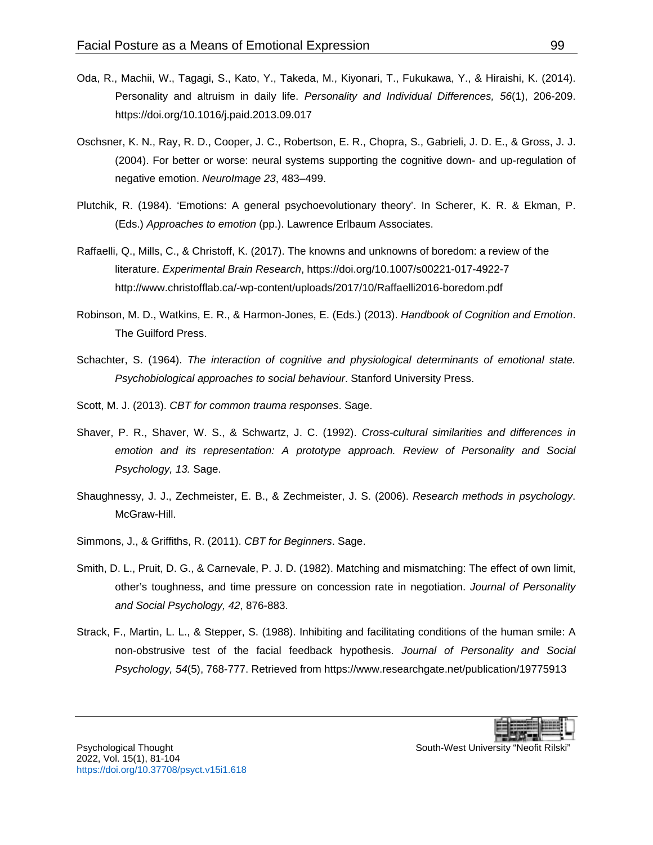- <span id="page-18-10"></span>Oda, R., Machii, W., Tagagi, S., Kato, Y., Takeda, M., Kiyonari, T., Fukukawa, Y., & Hiraishi, K. (2014). Personality and altruism in daily life. *Personality and Individual Differences, 56*(1), 206-209. <https://doi.org/10.1016/j.paid.2013.09.017>
- <span id="page-18-7"></span>Oschsner, K. N., Ray, R. D., Cooper, J. C., Robertson, E. R., Chopra, S., Gabrieli, J. D. E., & Gross, J. J. (2004). For better or worse: neural systems supporting the cognitive down- and up-regulation of negative emotion. *NeuroImage 23*, 483–499.
- <span id="page-18-2"></span>Plutchik, R. (1984). 'Emotions: A general psychoevolutionary theory'. In Scherer, K. R. & Ekman, P. (Eds.) *Approaches to emotion* (pp.). Lawrence Erlbaum Associates.
- <span id="page-18-9"></span>Raffaelli, Q., Mills, C., & Christoff, K. (2017). The knowns and unknowns of boredom: a review of the literature. *Experimental Brain Research*,<https://doi.org/10.1007/s00221-017-4922-7> <http://www.christofflab.ca/-wp-content/uploads/2017/10/Raffaelli2016-boredom.pdf>
- <span id="page-18-6"></span>Robinson, M. D., Watkins, E. R., & Harmon-Jones, E. (Eds.) (2013). *Handbook of Cognition and Emotion*. The Guilford Press.
- <span id="page-18-1"></span>Schachter, S. (1964). *The interaction of cognitive and physiological determinants of emotional state. Psychobiological approaches to social behaviour*. Stanford University Press.
- <span id="page-18-5"></span>Scott, M. J. (2013). *CBT for common trauma responses*. Sage.
- <span id="page-18-3"></span>Shaver, P. R., Shaver, W. S., & Schwartz, J. C. (1992). *Cross-cultural similarities and differences in emotion and its representation: A prototype approach. Review of Personality and Social Psychology, 13.* Sage.
- Shaughnessy, J. J., Zechmeister, E. B., & Zechmeister, J. S. (2006). *Research methods in psychology*. McGraw-Hill.
- <span id="page-18-4"></span>Simmons, J., & Griffiths, R. (2011). *CBT for Beginners*. Sage.
- <span id="page-18-11"></span>Smith, D. L., Pruit, D. G., & Carnevale, P. J. D. (1982). Matching and mismatching: The effect of own limit, other's toughness, and time pressure on concession rate in negotiation. *Journal of Personality and Social Psychology, 42*, 876-883.
- <span id="page-18-0"></span>Strack, F., Martin, L. L., & Stepper, S. (1988). Inhibiting and facilitating conditions of the human smile: A non-obstrusive test of the facial feedback hypothesis. *Journal of Personality and Social Psychology, 54*(5), 768-777. Retrieved from<https://www.researchgate.net/publication/19775913>

<span id="page-18-8"></span>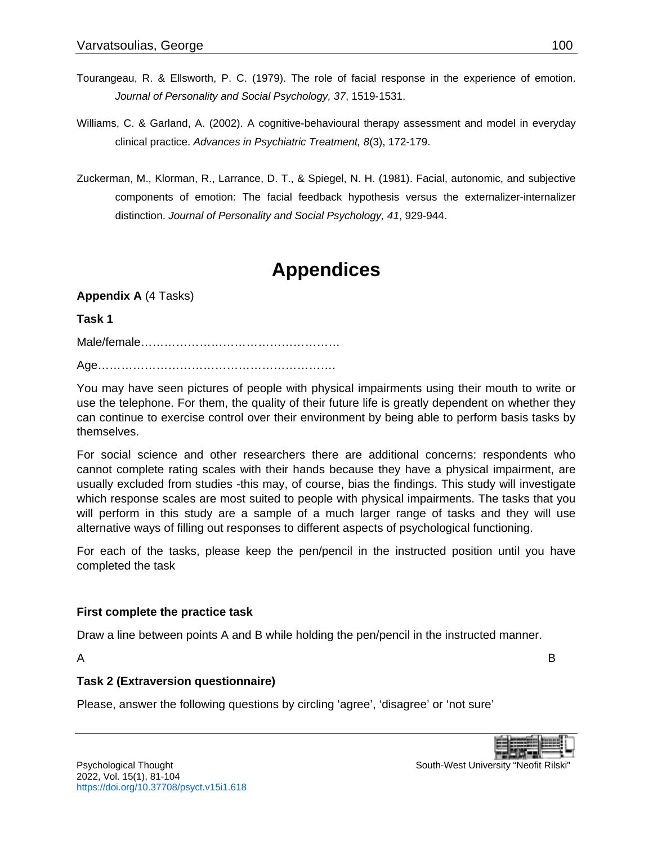- <span id="page-19-0"></span>Tourangeau, R. & Ellsworth, P. C. (1979). The role of facial response in the experience of emotion. *Journal of Personality and Social Psychology, 37*, 1519-1531.
- <span id="page-19-1"></span>Williams, C. & Garland, A. (2002). A cognitive-behavioural therapy assessment and model in everyday clinical practice. *Advances in Psychiatric Treatment, 8*(3), 172-179.
- Zuckerman, M., Klorman, R., Larrance, D. T., & Spiegel, N. H. (1981). Facial, autonomic, and subjective components of emotion: The facial feedback hypothesis versus the externalizer-internalizer distinction. *Journal of Personality and Social Psychology, 41*, 929-944.

# <span id="page-19-2"></span>**Appendices**

**Appendix A** (4 Tasks)

### **Task 1**

Male/female……………………………………………

Age…………………………………………………….

You may have seen pictures of people with physical impairments using their mouth to write or use the telephone. For them, the quality of their future life is greatly dependent on whether they can continue to exercise control over their environment by being able to perform basis tasks by themselves.

For social science and other researchers there are additional concerns: respondents who cannot complete rating scales with their hands because they have a physical impairment, are usually excluded from studies -this may, of course, bias the findings. This study will investigate which response scales are most suited to people with physical impairments. The tasks that you will perform in this study are a sample of a much larger range of tasks and they will use alternative ways of filling out responses to different aspects of psychological functioning.

For each of the tasks, please keep the pen/pencil in the instructed position until you have completed the task

## **First complete the practice task**

Draw a line between points A and B while holding the pen/pencil in the instructed manner.

A B

## **Task 2 (Extraversion questionnaire)**

Please, answer the following questions by circling 'agree', 'disagree' or 'not sure'

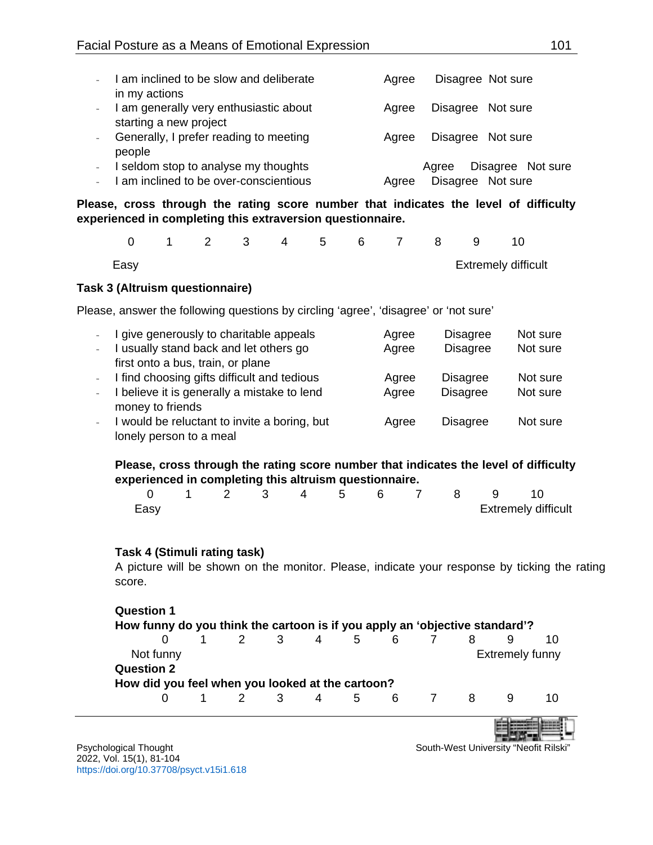| I am inclined to be slow and deliberate                                           | Agree | Disagree Not sure          |
|-----------------------------------------------------------------------------------|-------|----------------------------|
| in my actions<br>I am generally very enthusiastic about<br>starting a new project | Aaree | Disagree Not sure          |
| Generally, I prefer reading to meeting<br>people                                  | Aaree | Disagree Not sure          |
| I seldom stop to analyse my thoughts                                              |       | Disagree Not sure<br>Aaree |
| I am inclined to be over-conscientious                                            | Agree | Disagree Not sure          |

**Please, cross through the rating score number that indicates the level of difficulty experienced in completing this extraversion questionnaire.**

|      |  |  |  |  | 0 1 2 3 4 5 6 7 8 9 10 |                            |  |
|------|--|--|--|--|------------------------|----------------------------|--|
| Easv |  |  |  |  |                        | <b>Extremely difficult</b> |  |

### **Task 3 (Altruism questionnaire)**

Please, answer the following questions by circling 'agree', 'disagree' or 'not sure'

|                  | I give generously to charitable appeals       | Agree | <b>Disagree</b> | Not sure |
|------------------|-----------------------------------------------|-------|-----------------|----------|
| $\Delta \sim 10$ | I usually stand back and let others go        | Agree | <b>Disagree</b> | Not sure |
|                  | first onto a bus, train, or plane             |       |                 |          |
|                  | - I find choosing gifts difficult and tedious | Agree | <b>Disagree</b> | Not sure |
|                  | I believe it is generally a mistake to lend   | Agree | <b>Disagree</b> | Not sure |
|                  | money to friends                              |       |                 |          |
|                  | I would be reluctant to invite a boring, but  | Agree | <b>Disagree</b> | Not sure |
|                  | lonely person to a meal                       |       |                 |          |

## **Please, cross through the rating score number that indicates the level of difficulty experienced in completing this altruism questionnaire.**

|      |  |  |  |  | 0 1 2 3 4 5 6 7 8 9 10     |  |
|------|--|--|--|--|----------------------------|--|
| Easy |  |  |  |  | <b>Extremely difficult</b> |  |

## **Task 4 (Stimuli rating task)**

A picture will be shown on the monitor. Please, indicate your response by ticking the rating score.

| <b>Question 1</b>                                                           |                              |  |  |         |  |  |  |               |    |     |                          |
|-----------------------------------------------------------------------------|------------------------------|--|--|---------|--|--|--|---------------|----|-----|--------------------------|
| How funny do you think the cartoon is if you apply an 'objective standard'? |                              |  |  |         |  |  |  |               |    |     |                          |
|                                                                             |                              |  |  |         |  |  |  | 1 2 3 4 5 6 7 | 8  | 9   | 10                       |
|                                                                             | Extremely funny<br>Not funny |  |  |         |  |  |  |               |    |     |                          |
| <b>Question 2</b>                                                           |                              |  |  |         |  |  |  |               |    |     |                          |
| How did you feel when you looked at the cartoon?                            |                              |  |  |         |  |  |  |               |    |     |                          |
|                                                                             |                              |  |  | 1 2 3 4 |  |  |  | 5 6 7         | -8 | 9   | 10                       |
|                                                                             |                              |  |  |         |  |  |  |               |    | $-$ | $\overline{\phantom{a}}$ |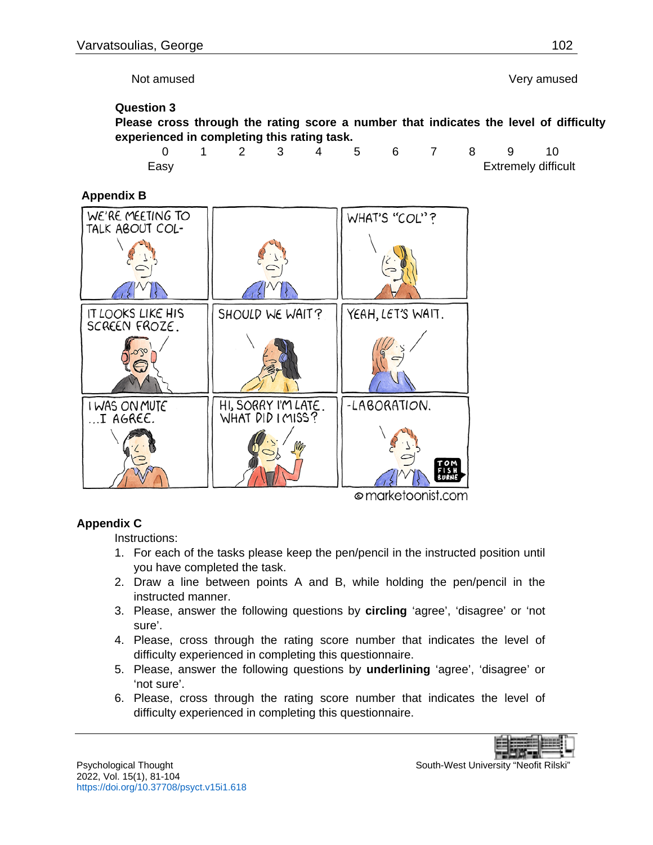Not amused Very amused

#### **Question 3**

**Please cross through the rating score a number that indicates the level of difficulty experienced in completing this rating task.**

|      |  |  |  |  | 0 1 2 3 4 5 6 7 8 9 10     |
|------|--|--|--|--|----------------------------|
| Easy |  |  |  |  | <b>Extremely difficult</b> |

**Appendix B**



#### © marketoonist.com

## **Appendix C**

Instructions:

- 1. For each of the tasks please keep the pen/pencil in the instructed position until you have completed the task.
- 2. Draw a line between points A and B, while holding the pen/pencil in the instructed manner.
- 3. Please, answer the following questions by **circling** 'agree', 'disagree' or 'not sure'.
- 4. Please, cross through the rating score number that indicates the level of difficulty experienced in completing this questionnaire.
- 5. Please, answer the following questions by **underlining** 'agree', 'disagree' or 'not sure'.
- 6. Please, cross through the rating score number that indicates the level of difficulty experienced in completing this questionnaire.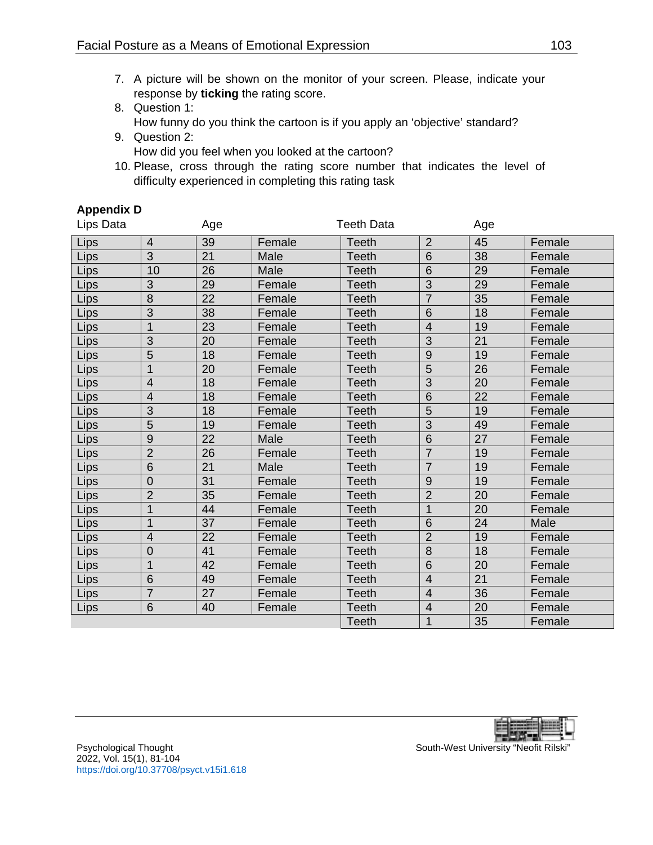- 7. A picture will be shown on the monitor of your screen. Please, indicate your response by **ticking** the rating score.
- 8. Question 1: How funny do you think the cartoon is if you apply an 'objective' standard?
- 9. Question 2: How did you feel when you looked at the cartoon?
- 10. Please, cross through the rating score number that indicates the level of difficulty experienced in completing this rating task

## **Appendix D**

| Lips Data |                          | Age             |        | <b>Teeth Data</b> |                | Age |        |
|-----------|--------------------------|-----------------|--------|-------------------|----------------|-----|--------|
| Lips      | $\overline{4}$           | 39              | Female | <b>Teeth</b>      | $\overline{2}$ | 45  | Female |
| Lips      | $\overline{3}$           | 21              | Male   | <b>Teeth</b>      | 6              | 38  | Female |
| Lips      | 10                       | 26              | Male   | <b>Teeth</b>      | 6              | 29  | Female |
| Lips      | 3                        | 29              | Female | <b>Teeth</b>      | 3              | 29  | Female |
| Lips      | 8                        | 22              | Female | <b>Teeth</b>      | $\overline{7}$ | 35  | Female |
| Lips      | 3                        | 38              | Female | <b>Teeth</b>      | 6              | 18  | Female |
| Lips      | 1                        | 23              | Female | <b>Teeth</b>      | $\overline{4}$ | 19  | Female |
| Lips      | $\overline{3}$           | 20              | Female | <b>Teeth</b>      | $\overline{3}$ | 21  | Female |
| Lips      | $\overline{5}$           | 18              | Female | <b>Teeth</b>      | 9              | 19  | Female |
| Lips      | $\mathbf 1$              | 20              | Female | <b>Teeth</b>      | 5              | 26  | Female |
| Lips      | $\overline{4}$           | 18              | Female | <b>Teeth</b>      | 3              | 20  | Female |
| Lips      | $\overline{4}$           | 18              | Female | Teeth             | 6              | 22  | Female |
| Lips      | $\overline{3}$           | 18              | Female | <b>Teeth</b>      | 5              | 19  | Female |
| Lips      | 5                        | 19              | Female | <b>Teeth</b>      | 3              | 49  | Female |
| Lips      | $\overline{9}$           | $\overline{22}$ | Male   | <b>Teeth</b>      | $\overline{6}$ | 27  | Female |
| Lips      | $\overline{2}$           | 26              | Female | <b>Teeth</b>      | $\overline{7}$ | 19  | Female |
| Lips      | 6                        | 21              | Male   | <b>Teeth</b>      | $\overline{7}$ | 19  | Female |
| Lips      | $\overline{0}$           | 31              | Female | <b>Teeth</b>      | 9              | 19  | Female |
| Lips      | $\overline{2}$           | 35              | Female | Teeth             | $\overline{2}$ | 20  | Female |
| Lips      | $\mathbf{1}$             | 44              | Female | <b>Teeth</b>      | $\overline{1}$ | 20  | Female |
| Lips      | 1                        | 37              | Female | <b>Teeth</b>      | 6              | 24  | Male   |
| Lips      | $\overline{\mathcal{A}}$ | 22              | Female | <b>Teeth</b>      | $\overline{2}$ | 19  | Female |
| Lips      | $\mathbf 0$              | 41              | Female | <b>Teeth</b>      | 8              | 18  | Female |
| Lips      | $\mathbf{1}$             | 42              | Female | <b>Teeth</b>      | 6              | 20  | Female |
| Lips      | 6                        | 49              | Female | <b>Teeth</b>      | $\overline{4}$ | 21  | Female |
| Lips      | $\overline{7}$           | 27              | Female | <b>Teeth</b>      | $\overline{4}$ | 36  | Female |
| Lips      | 6                        | 40              | Female | <b>Teeth</b>      | $\overline{4}$ | 20  | Female |
|           |                          |                 |        | <b>Teeth</b>      | 1              | 35  | Female |